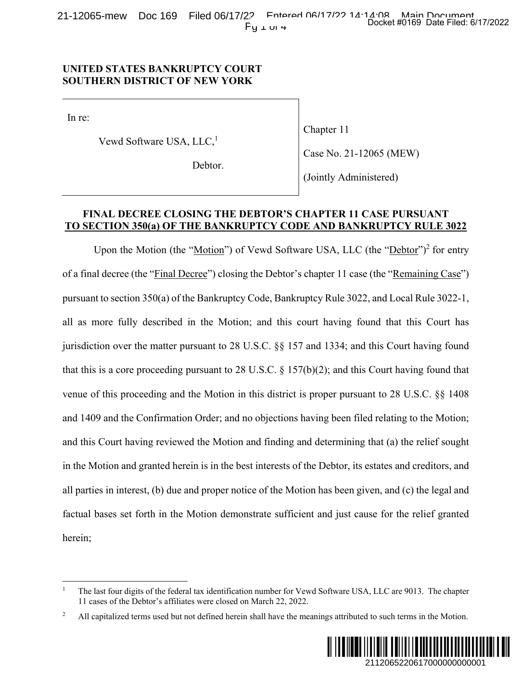## **UNITED STATES BANKRUPTCY COURT SOUTHERN DISTRICT OF NEW YORK**

In re:

Vewd Software USA, LLC,<sup>1</sup>

Chapter 11

Debtor.

(Jointly Administered)

Case No. 21-12065 (MEW)

## **FINAL DECREE CLOSING THE DEBTOR'S CHAPTER 11 CASE PURSUANT TO SECTION 350(a) OF THE BANKRUPTCY CODE AND BANKRUPTCY RULE 3022**

Upon the Motion (the "Motion") of Vewd Software USA, LLC (the "Debtor")<sup>2</sup> for entry of a final decree (the "Final Decree") closing the Debtor's chapter 11 case (the "Remaining Case") pursuant to section 350(a) of the Bankruptcy Code, Bankruptcy Rule 3022, and Local Rule 3022-1, all as more fully described in the Motion; and this court having found that this Court has jurisdiction over the matter pursuant to 28 U.S.C. §§ 157 and 1334; and this Court having found that this is a core proceeding pursuant to 28 U.S.C. § 157(b)(2); and this Court having found that venue of this proceeding and the Motion in this district is proper pursuant to 28 U.S.C. §§ 1408 and 1409 and the Confirmation Order; and no objections having been filed relating to the Motion; and this Court having reviewed the Motion and finding and determining that (a) the relief sought in the Motion and granted herein is in the best interests of the Debtor, its estates and creditors, and all parties in interest, (b) due and proper notice of the Motion has been given, and (c) the legal and factual bases set forth in the Motion demonstrate sufficient and just cause for the relief granted herein; Docket #0169 Date Filed: 6/17/2022<br>
2065 (MEW)<br>
istered)<br>
2212<br>
(the "<u>Debtor</u>")<sup>2</sup> for entry<br>
(the "<u>Debtor</u>")<sup>2</sup> for entry<br>
(the "<u>Remaining Case</u>")<br>
2, and Local Rule 3022-1,<br>
und that this Court having found<br>
Court ha

<sup>2</sup> All capitalized terms used but not defined herein shall have the meanings attributed to such terms in the Motion.



<sup>1</sup> The last four digits of the federal tax identification number for Vewd Software USA, LLC are 9013. The chapter 11 cases of the Debtor's affiliates were closed on March 22, 2022.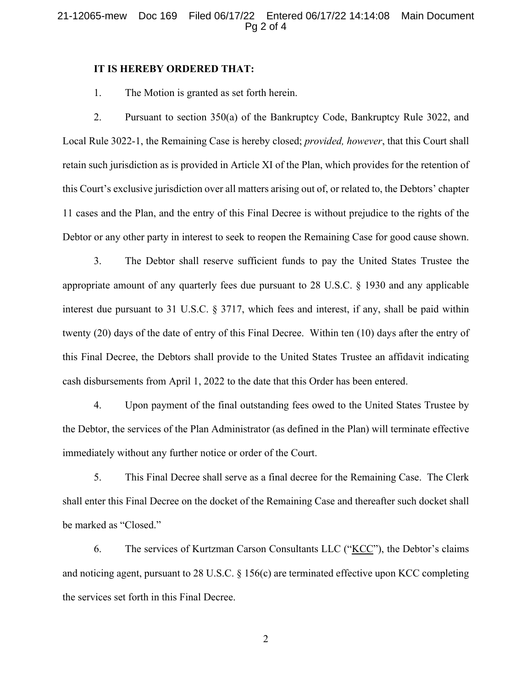### 21-12065-mew Doc 169 Filed 06/17/22 Entered 06/17/22 14:14:08 Main Document Pg 2 of 4

### **IT IS HEREBY ORDERED THAT:**

1. The Motion is granted as set forth herein.

2. Pursuant to section 350(a) of the Bankruptcy Code, Bankruptcy Rule 3022, and Local Rule 3022-1, the Remaining Case is hereby closed; *provided, however*, that this Court shall retain such jurisdiction as is provided in Article XI of the Plan, which provides for the retention of this Court's exclusive jurisdiction over all matters arising out of, or related to, the Debtors' chapter 11 cases and the Plan, and the entry of this Final Decree is without prejudice to the rights of the Debtor or any other party in interest to seek to reopen the Remaining Case for good cause shown.

3. The Debtor shall reserve sufficient funds to pay the United States Trustee the appropriate amount of any quarterly fees due pursuant to 28 U.S.C. § 1930 and any applicable interest due pursuant to 31 U.S.C. § 3717, which fees and interest, if any, shall be paid within twenty (20) days of the date of entry of this Final Decree. Within ten (10) days after the entry of this Final Decree, the Debtors shall provide to the United States Trustee an affidavit indicating cash disbursements from April 1, 2022 to the date that this Order has been entered.

4. Upon payment of the final outstanding fees owed to the United States Trustee by the Debtor, the services of the Plan Administrator (as defined in the Plan) will terminate effective immediately without any further notice or order of the Court.

5. This Final Decree shall serve as a final decree for the Remaining Case. The Clerk shall enter this Final Decree on the docket of the Remaining Case and thereafter such docket shall be marked as "Closed."

6. The services of Kurtzman Carson Consultants LLC (" $KCC$ "), the Debtor's claims and noticing agent, pursuant to 28 U.S.C. § 156(c) are terminated effective upon KCC completing the services set forth in this Final Decree.

2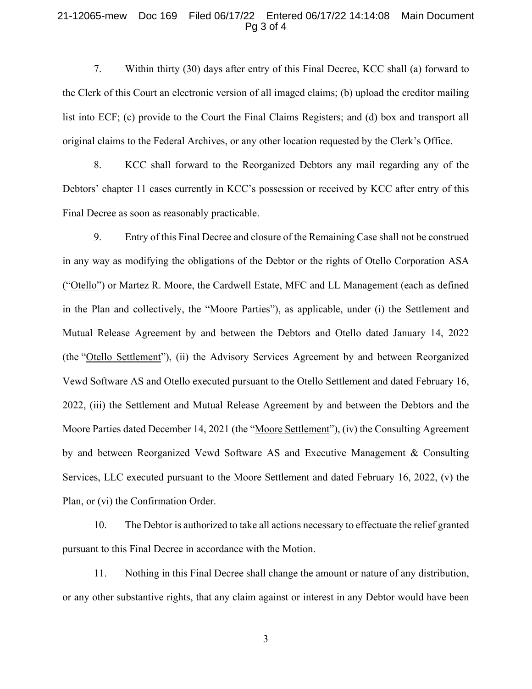#### 21-12065-mew Doc 169 Filed 06/17/22 Entered 06/17/22 14:14:08 Main Document Pg 3 of 4

7. Within thirty (30) days after entry of this Final Decree, KCC shall (a) forward to the Clerk of this Court an electronic version of all imaged claims; (b) upload the creditor mailing list into ECF; (c) provide to the Court the Final Claims Registers; and (d) box and transport all original claims to the Federal Archives, or any other location requested by the Clerk's Office.

8. KCC shall forward to the Reorganized Debtors any mail regarding any of the Debtors' chapter 11 cases currently in KCC's possession or received by KCC after entry of this Final Decree as soon as reasonably practicable.

9. Entry of this Final Decree and closure of the Remaining Case shall not be construed in any way as modifying the obligations of the Debtor or the rights of Otello Corporation ASA ("Otello") or Martez R. Moore, the Cardwell Estate, MFC and LL Management (each as defined in the Plan and collectively, the "Moore Parties"), as applicable, under (i) the Settlement and Mutual Release Agreement by and between the Debtors and Otello dated January 14, 2022 (the "Otello Settlement"), (ii) the Advisory Services Agreement by and between Reorganized Vewd Software AS and Otello executed pursuant to the Otello Settlement and dated February 16, 2022, (iii) the Settlement and Mutual Release Agreement by and between the Debtors and the Moore Parties dated December 14, 2021 (the "Moore Settlement"), (iv) the Consulting Agreement by and between Reorganized Vewd Software AS and Executive Management & Consulting Services, LLC executed pursuant to the Moore Settlement and dated February 16, 2022, (v) the Plan, or (vi) the Confirmation Order.

10. The Debtor is authorized to take all actions necessary to effectuate the relief granted pursuant to this Final Decree in accordance with the Motion.

11. Nothing in this Final Decree shall change the amount or nature of any distribution, or any other substantive rights, that any claim against or interest in any Debtor would have been

3